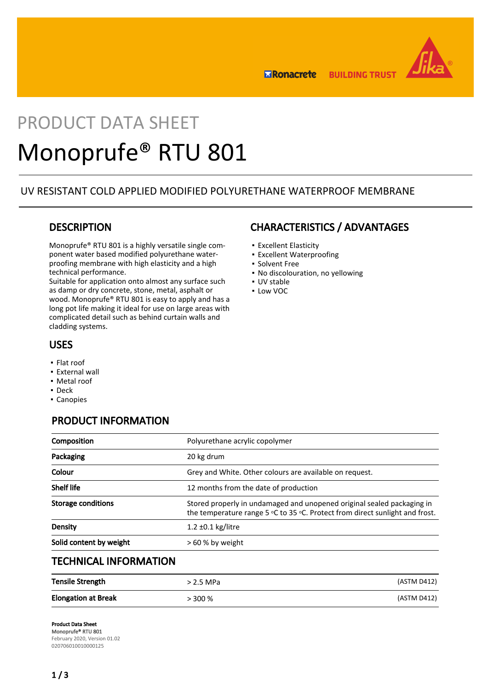

**ERonacrete BUILDING TRUST** 

# PRODUCT DATA SHEET Monoprufe® RTU 801

## UV RESISTANT COLD APPLIED MODIFIED POLYURETHANE WATERPROOF MEMBRANE

## **DESCRIPTION**

Monoprufe® RTU 801 is a highly versatile single component water based modified polyurethane waterproofing membrane with high elasticity and a high technical performance.

Suitable for application onto almost any surface such as damp or dry concrete, stone, metal, asphalt or wood. Monoprufe® RTU 801 is easy to apply and has a long pot life making it ideal for use on large areas with complicated detail such as behind curtain walls and cladding systems.

### USES

- Flat roof
- **External wall**
- Metal roof
- Deck
- Canopies

# PRODUCT INFORMATION

| Composition                  | Polyurethane acrylic copolymer                                                                                                                         |
|------------------------------|--------------------------------------------------------------------------------------------------------------------------------------------------------|
| Packaging                    | 20 kg drum                                                                                                                                             |
| Colour                       | Grey and White. Other colours are available on request.                                                                                                |
| <b>Shelf life</b>            | 12 months from the date of production                                                                                                                  |
| <b>Storage conditions</b>    | Stored properly in undamaged and unopened original sealed packaging in<br>the temperature range 5 °C to 35 °C. Protect from direct sunlight and frost. |
| Density                      | $1.2 \pm 0.1$ kg/litre                                                                                                                                 |
| Solid content by weight      | $>60$ % by weight                                                                                                                                      |
| <b>TECHNICAL INFORMATION</b> |                                                                                                                                                        |

| <b>Tensile Strength</b>    | > 2.5 MPa | (ASTM D412) |
|----------------------------|-----------|-------------|
| <b>Elongation at Break</b> | > 300 %   | (ASTM D412) |

## CHARACTERISTICS / ADVANTAGES

- Excellent Elasticity
- **Excellent Waterproofing**
- Solvent Free
- No discolouration, no yellowing
- UV stable
- Low VOC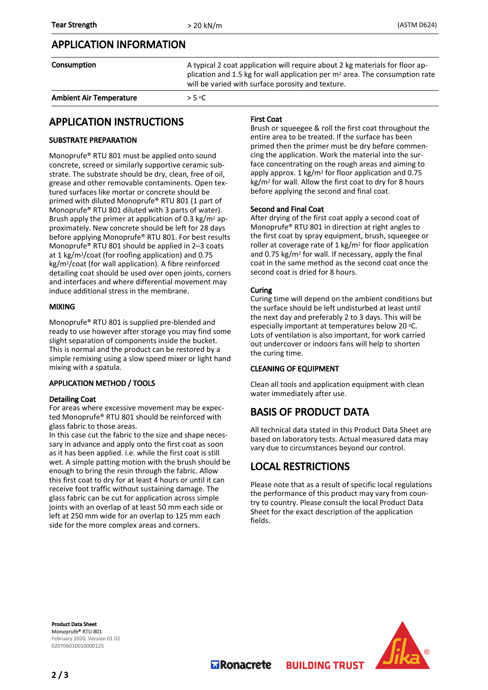## APPLICATION INFORMATION

| Consumption                    | A typical 2 coat application will require about 2 kg materials for floor ap-<br>plication and 1.5 kg for wall application per $m2$ area. The consumption rate<br>will be varied with surface porosity and texture. |
|--------------------------------|--------------------------------------------------------------------------------------------------------------------------------------------------------------------------------------------------------------------|
| <b>Ambient Air Temperature</b> | $>$ 5 °C $\overline{C}$                                                                                                                                                                                            |

## APPLICATION INSTRUCTIONS

#### SUBSTRATE PREPARATION

Monoprufe® RTU 801 must be applied onto sound concrete, screed or similarly supportive ceramic substrate. The substrate should be dry, clean, free of oil, grease and other removable contaminents. Open textured surfaces like mortar or concrete should be primed with diluted Monoprufe® RTU 801 (1 part of Monoprufe® RTU 801 diluted with 3 parts of water). Brush apply the primer at application of 0.3 kg/m2 approximately. New concrete should be left for 28 days before applying Monoprufe® RTU 801. For best results Monoprufe® RTU 801 should be applied in 2–3 coats at 1 kg/m2/coat (for roofing application) and 0.75 kg/m2/coat (for wall application). A fibre reinforced detailing coat should be used over open joints, corners and interfaces and where differential movement may induce additional stress in the membrane.

#### MIXING

Monoprufe® RTU 801 is supplied pre-blended and ready to use however after storage you may find some slight separation of components inside the bucket. This is normal and the product can be restored by a simple remixing using a slow speed mixer or light hand mixing with a spatula.

#### APPLICATION METHOD / TOOLS

#### Detailing Coat

For areas where excessive movement may be expected Monoprufe® RTU 801 should be reinforced with glass fabric to those areas.

In this case cut the fabric to the size and shape necessary in advance and apply onto the first coat as soon as it has been applied. i.e. while the first coat is still wet. A simple patting motion with the brush should be enough to bring the resin through the fabric. Allow this first coat to dry for at least 4 hours or until it can receive foot traffic without sustaining damage. The glass fabric can be cut for application across simple joints with an overlap of at least 50 mm each side or left at 250 mm wide for an overlap to 125 mm each side for the more complex areas and corners.

#### First Coat

Brush or squeegee & roll the first coat throughout the entire area to be treated. If the surface has been primed then the primer must be dry before commencing the application. Work the material into the surface concentrating on the rough areas and aiming to apply approx. 1 kg/m2 for floor application and 0.75 kg/m2 for wall. Allow the first coat to dry for 8 hours before applying the second and final coat.

#### Second and Final Coat

After drying of the first coat apply a second coat of Monoprufe® RTU 801 in direction at right angles to the first coat by spray equipment, brush, squeegee or roller at coverage rate of 1 kg/m2 for floor application and 0.75 kg/m2 for wall. If necessary, apply the final coat in the same method as the second coat once the second coat is dried for 8 hours.

#### Curing

Curing time will depend on the ambient conditions but the surface should be left undisturbed at least until the next day and preferably 2 to 3 days. This will be especially important at temperatures below 20 °C. Lots of ventilation is also important, for work carried out undercover or indoors fans will help to shorten the curing time.

#### CLEANING OF EQUIPMENT

Clean all tools and application equipment with clean water immediately after use.

## BASIS OF PRODUCT DATA

All technical data stated in this Product Data Sheet are based on laboratory tests. Actual measured data may vary due to circumstances beyond our control.

## LOCAL RESTRICTIONS

Please note that as a result of specific local regulations the performance of this product may vary from country to country. Please consult the local Product Data Sheet for the exact description of the application fields.

**BUILDING TRUST** 

Product Data Sheet Monoprufe® RTU 801 February 2020, Version 01.02 020706010010000125



**M** Ronacrete